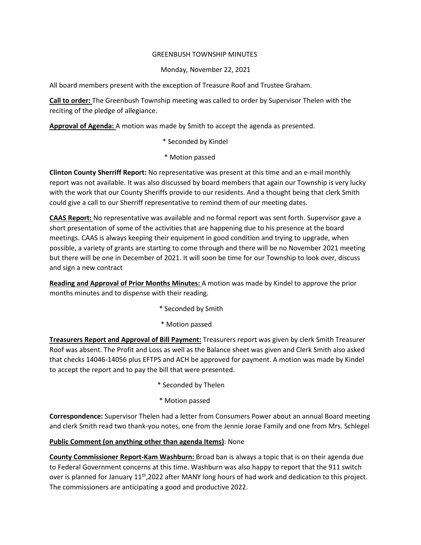## GREENBUSH TOWNSHIP MINUTES

## Monday, November 22, 2021

All board members present with the exception of Treasure Roof and Trustee Graham.

**Call to order:** The Greenbush Township meeting was called to order by Supervisor Thelen with the reciting of the pledge of allegiance.

**Approval of Agenda:** A motion was made by Smith to accept the agenda as presented.

- \* Seconded by Kindel
- \* Motion passed

**Clinton County Sherriff Report:** No representative was present at this time and an e-mail monthly report was not available. It was also discussed by board members that again our Township is very lucky with the work that our County Sheriffs provide to our residents. And a thought being that clerk Smith could give a call to our Sherriff representative to remind them of our meeting dates.

**CAAS Report:** No representative was available and no formal report was sent forth. Supervisor gave a short presentation of some of the activities that are happening due to his presence at the board meetings. CAAS is always keeping their equipment in good condition and trying to upgrade, when possible, a variety of grants are starting to come through and there will be no November 2021 meeting but there will be one in December of 2021. It will soon be time for our Township to look over, discuss and sign a new contract

**Reading and Approval of Prior Months Minutes:** A motion was made by Kindel to approve the prior months minutes and to dispense with their reading.

- \* Seconded by Smith
- \* Motion passed

**Treasurers Report and Approval of Bill Payment:** Treasurers report was given by clerk Smith Treasurer Roof was absent. The Profit and Loss as well as the Balance sheet was given and Clerk Smith also asked that checks 14046-14056 plus EFTPS and ACH be approved for payment. A motion was made by Kindel to accept the report and to pay the bill that were presented.

- \* Seconded by Thelen
- \* Motion passed

**Correspondence:** Supervisor Thelen had a letter from Consumers Power about an annual Board meeting and clerk Smith read two thank-you notes, one from the Jennie Jorae Family and one from Mrs. Schlegel

## **Public Comment (on anything other than agenda Items)**: None

**County Commissioner Report-Kam Washburn:** Broad ban is always a topic that is on their agenda due to Federal Government concerns at this time. Washburn was also happy to report that the 911 switch over is planned for January 11<sup>th</sup>,2022 after MANY long hours of had work and dedication to this project. The commissioners are anticipating a good and productive 2022.